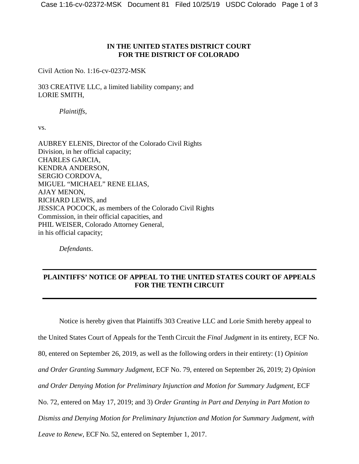## **IN THE UNITED STATES DISTRICT COURT FOR THE DISTRICT OF COLORADO**

Civil Action No. 1:16-cv-02372-MSK

303 CREATIVE LLC, a limited liability company; and LORIE SMITH,

*Plaintiffs*,

vs.

AUBREY ELENIS, Director of the Colorado Civil Rights Division, in her official capacity; CHARLES GARCIA, KENDRA ANDERSON, SERGIO CORDOVA, MIGUEL "MICHAEL" RENE ELIAS, AJAY MENON, RICHARD LEWIS, and JESSICA POCOCK, as members of the Colorado Civil Rights Commission, in their official capacities, and PHIL WEISER, Colorado Attorney General, in his official capacity;

*Defendants*.

## **PLAINTIFFS' NOTICE OF APPEAL TO THE UNITED STATES COURT OF APPEALS FOR THE TENTH CIRCUIT**

Notice is hereby given that Plaintiffs 303 Creative LLC and Lorie Smith hereby appeal to the United States Court of Appeals for the Tenth Circuit the *Final Judgment* in its entirety, ECF No. 80, entered on September 26, 2019, as well as the following orders in their entirety: (1) *Opinion and Order Granting Summary Judgment*, ECF No. 79, entered on September 26, 2019; 2) *Opinion and Order Denying Motion for Preliminary Injunction and Motion for Summary Judgment*, ECF No. 72, entered on May 17, 2019; and 3) *Order Granting in Part and Denying in Part Motion to Dismiss and Denying Motion for Preliminary Injunction and Motion for Summary Judgment, with Leave to Renew*, ECF No. 52, entered on September 1, 2017.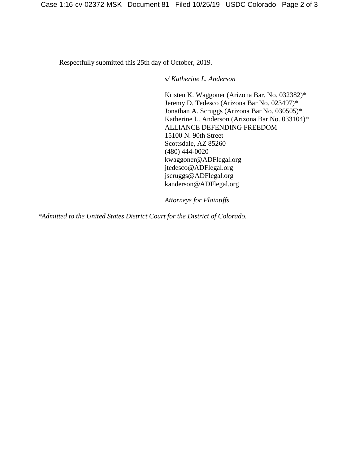Respectfully submitted this 25th day of October, 2019.

*s/ Katherine L. Anderson*

Kristen K. Waggoner (Arizona Bar. No. 032382)\* Jeremy D. Tedesco (Arizona Bar No. 023497)\* Jonathan A. Scruggs (Arizona Bar No. 030505)\* Katherine L. Anderson (Arizona Bar No. 033104)\* ALLIANCE DEFENDING FREEDOM 15100 N. 90th Street Scottsdale, AZ 85260 (480) 444-0020 kwaggoner@ADFlegal.org jtedesco@ADFlegal.org jscruggs@ADFlegal.org kanderson@ADFlegal.org

*Attorneys for Plaintiffs*

*\*Admitted to the United States District Court for the District of Colorado.*